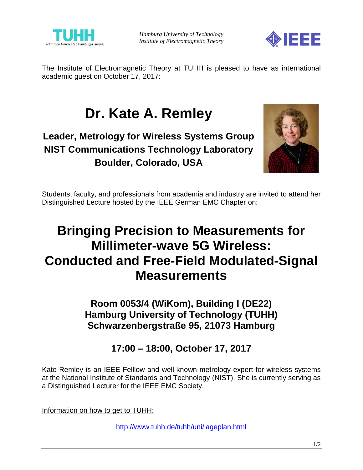



The Institute of Electromagnetic Theory at TUHH is pleased to have as international academic guest on October 17, 2017:

# **Dr. Kate A. Remley**

**Leader, Metrology for Wireless Systems Group NIST Communications Technology Laboratory Boulder, Colorado, USA**



Students, faculty, and professionals from academia and industry are invited to attend her Distinguished Lecture hosted by the IEEE German EMC Chapter on:

## **Bringing Precision to Measurements for Millimeter-wave 5G Wireless: Conducted and Free-Field Modulated-Signal Measurements**

**Room 0053/4 (WiKom), Building I (DE22) Hamburg University of Technology (TUHH) Schwarzenbergstraße 95, 21073 Hamburg**

**17:00 – 18:00, October 17, 2017**

Kate Remley is an IEEE Felllow and well-known metrology expert for wireless systems at the National Institute of Standards and Technology (NIST). She is currently serving as a Distinguished Lecturer for the IEEE EMC Society.

Information on how to get to TUHH:

<http://www.tuhh.de/tuhh/uni/lageplan.html>